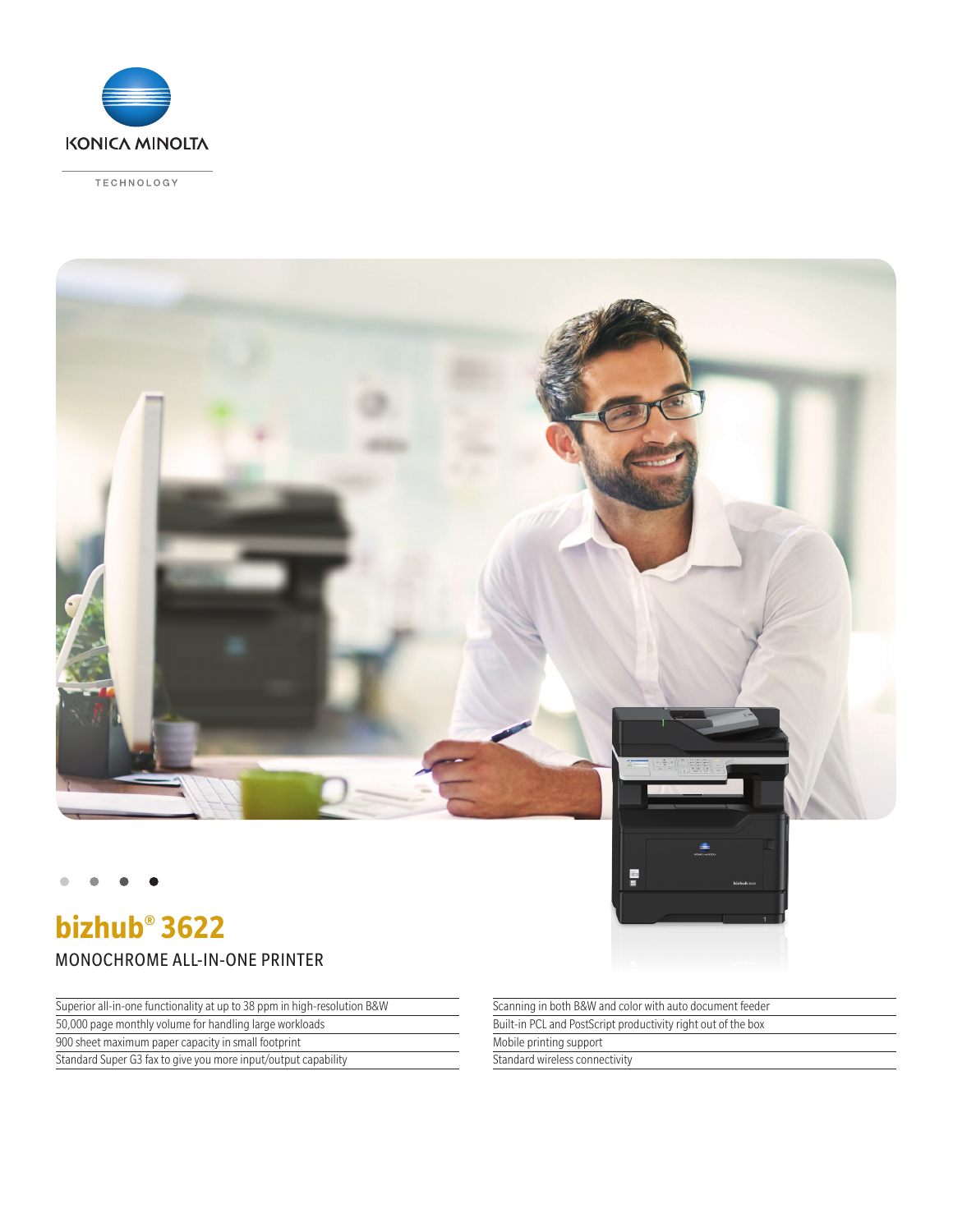

TECHNOLOGY



**bizhub® 3622** MONOCHROME ALL-IN-ONE PRINTER

Superior all-in-one functionality at up to 38 ppm in high-resolution B&W

50,000 page monthly volume for handling large workloads

900 sheet maximum paper capacity in small footprint

Standard Super G3 fax to give you more input/output capability

Scanning in both B&W and color with auto document feeder Built-in PCL and PostScript productivity right out of the box Mobile printing support Standard wireless connectivity